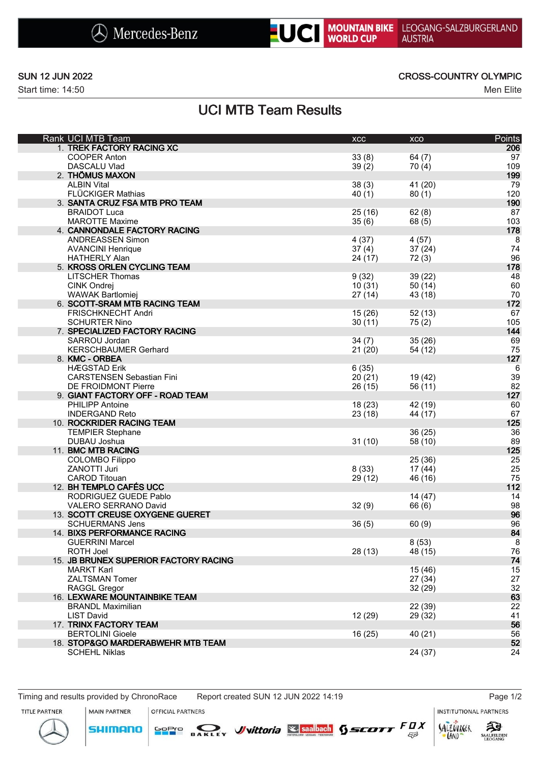



Start time: 14:50 Men Elite

### SUN 12 JUN 2022 CROSS-COUNTRY OLYMPIC

# UCI MTB Team Results

| Rank UCI MTB Team                     | XCC     | XCO     | Points   |
|---------------------------------------|---------|---------|----------|
| 1. TREK FACTORY RACING XC             |         |         | 206      |
| <b>COOPER Anton</b>                   | 33(8)   | 64(7)   | 97       |
| DASCALU Vlad                          | 39(2)   | 70(4)   | 109      |
| 2. THÖMUS MAXON                       |         |         | 199      |
| <b>ALBIN Vital</b>                    | 38(3)   | 41 (20) | 79       |
| FLÜCKIGER Mathias                     | 40(1)   | 80(1)   | 120      |
| 3. SANTA CRUZ FSA MTB PRO TEAM        |         |         | 190      |
| <b>BRAIDOT Luca</b>                   | 25(16)  | 62(8)   | 87       |
| <b>MAROTTE Maxime</b>                 | 35(6)   | 68(5)   | 103      |
| 4. CANNONDALE FACTORY RACING          |         |         | 178      |
| <b>ANDREASSEN Simon</b>               | 4(37)   | 4(57)   | 8        |
| <b>AVANCINI Henrique</b>              | 37(4)   | 37(24)  | 74       |
| <b>HATHERLY Alan</b>                  | 24 (17) | 72(3)   | 96       |
| 5. KROSS ORLEN CYCLING TEAM           |         |         | 178      |
| <b>LITSCHER Thomas</b>                | 9(32)   | 39 (22) | 48       |
| CINK Ondrej                           | 10(31)  | 50(14)  | 60       |
| <b>WAWAK Bartlomiej</b>               | 27(14)  | 43 (18) | 70       |
| 6. SCOTT-SRAM MTB RACING TEAM         |         |         | 172      |
| <b>FRISCHKNECHT Andri</b>             | 15(26)  | 52(13)  | 67       |
| <b>SCHURTER Nino</b>                  |         |         | 105      |
| 7. SPECIALIZED FACTORY RACING         | 30(11)  | 75(2)   | 144      |
|                                       |         |         |          |
| SARROU Jordan                         | 34(7)   | 35(26)  | 69<br>75 |
| <b>KERSCHBAUMER Gerhard</b>           | 21(20)  | 54 (12) |          |
| 8. KMC - ORBEA                        |         |         | 127      |
| <b>HÆGSTAD Erik</b>                   | 6(35)   |         | 6        |
| <b>CARSTENSEN Sebastian Fini</b>      | 20(21)  | 19 (42) | 39       |
| <b>DE FROIDMONT Pierre</b>            | 26 (15) | 56 (11) | 82       |
| 9. GIANT FACTORY OFF - ROAD TEAM      |         |         | 127      |
| PHILIPP Antoine                       | 18 (23) | 42 (19) | 60       |
| <b>INDERGAND Reto</b>                 | 23(18)  | 44 (17) | 67       |
| 10. ROCKRIDER RACING TEAM             |         |         | 125      |
| <b>TEMPIER Stephane</b>               |         | 36 (25) | 36       |
| DUBAU Joshua                          | 31(10)  | 58 (10) | 89       |
| 11. BMC MTB RACING                    |         |         | 125      |
| <b>COLOMBO Filippo</b>                |         | 25 (36) | 25       |
| ZANOTTI Juri                          | 8(33)   | 17(44)  | 25       |
| <b>CAROD Titouan</b>                  | 29 (12) | 46 (16) | 75       |
| 12. BH TEMPLO CAFÉS UCC               |         |         | 112      |
| RODRIGUEZ GUEDE Pablo                 |         | 14 (47) | 14       |
| VALERO SERRANO David                  | 32(9)   | 66 (6)  | 98       |
| 13. SCOTT CREUSE OXYGENE GUERET       |         |         | 96       |
| <b>SCHUERMANS Jens</b>                | 36(5)   | 60(9)   | 96       |
| 14. BIXS PERFORMANCE RACING           |         |         | 84       |
| <b>GUERRINI Marcel</b>                |         | 8(53)   | 8        |
| <b>ROTH Joel</b>                      | 28 (13) | 48 (15) | 76       |
| 15. JB BRUNEX SUPERIOR FACTORY RACING |         |         | 74       |
| MARKT Karl                            |         | 15(46)  | 15       |
| ZALTSMAN Tomer                        |         | 27(34)  | 27       |
| <b>RAGGL Gregor</b>                   |         | 32(29)  | 32       |
| 16. LEXWARE MOUNTAINBIKE TEAM         |         |         | 63       |
| <b>BRANDL Maximilian</b>              |         | 22 (39) | 22       |
| <b>LIST David</b>                     | 12(29)  | 29 (32) | 41       |
| 17. TRINX FACTORY TEAM                |         |         | 56       |
| <b>BERTOLINI Gioele</b>               | 16(25)  | 40 (21) | 56       |
| 18. STOP&GO MARDERABWEHR MTB TEAM     |         |         | 52       |
| <b>SCHEHL Niklas</b>                  |         | 24 (37) | 24       |
|                                       |         |         |          |

Timing and results provided by ChronoRace Report created SUN 12 JUN 2022 14:19 Page 1/2

**INSTITUTIONAL PARTNERS** 





**SHIMANO**